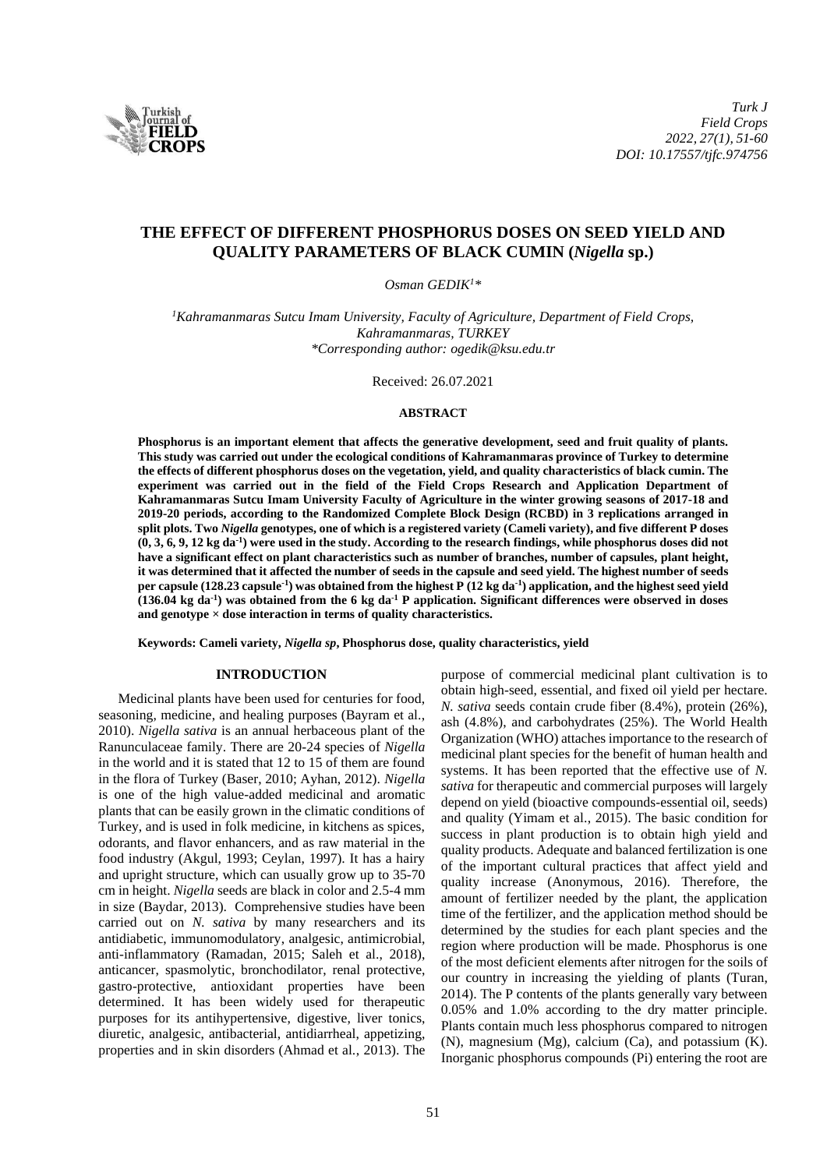

# **THE EFFECT OF DIFFERENT PHOSPHORUS DOSES ON SEED YIELD AND QUALITY PARAMETERS OF BLACK CUMIN (***Nigella* **sp.)**

*Osman GEDIK<sup>1</sup>\**

*<sup>1</sup>Kahramanmaras Sutcu Imam University, Faculty of Agriculture, Department of Field Crops, Kahramanmaras, TURKEY \*Corresponding author: ogedik@ksu.edu.tr*

Received: 26.07.2021

#### **ABSTRACT**

**Phosphorus is an important element that affects the generative development, seed and fruit quality of plants. This study was carried out under the ecological conditions of Kahramanmaras province of Turkey to determine the effects of different phosphorus doses on the vegetation, yield, and quality characteristics of black cumin. The experiment was carried out in the field of the Field Crops Research and Application Department of Kahramanmaras Sutcu Imam University Faculty of Agriculture in the winter growing seasons of 2017-18 and 2019-20 periods, according to the Randomized Complete Block Design (RCBD) in 3 replications arranged in split plots. Two** *Nigella* **genotypes, one of which is a registered variety (Cameli variety), and five different P doses (0, 3, 6, 9, 12 kg da-1 ) were used in the study. According to the research findings, while phosphorus doses did not have a significant effect on plant characteristics such as number of branches, number of capsules, plant height, it was determined that it affected the number of seeds in the capsule and seed yield. The highest number of seeds per capsule (128.23 capsule-1 ) was obtained from the highest P (12 kg da-1 ) application, and the highest seed yield (136.04 kg da-1 ) was obtained from the 6 kg da-1 P application. Significant differences were observed in doses and genotype × dose interaction in terms of quality characteristics.** 

**Keywords: Cameli variety,** *Nigella sp***, Phosphorus dose, quality characteristics, yield**

### **INTRODUCTION**

Medicinal plants have been used for centuries for food, seasoning, medicine, and healing purposes (Bayram et al., 2010). *Nigella sativa* is an annual herbaceous plant of the Ranunculaceae family. There are 20-24 species of *Nigella* in the world and it is stated that 12 to 15 of them are found in the flora of Turkey (Baser, 2010; Ayhan, 2012). *Nigella* is one of the high value-added medicinal and aromatic plants that can be easily grown in the climatic conditions of Turkey, and is used in folk medicine, in kitchens as spices, odorants, and flavor enhancers, and as raw material in the food industry (Akgul, 1993; Ceylan, 1997). It has a hairy and upright structure, which can usually grow up to 35-70 cm in height. *Nigella* seeds are black in color and 2.5-4 mm in size (Baydar, 2013). Comprehensive studies have been carried out on *N. sativa* by many researchers and its antidiabetic, immunomodulatory, analgesic, antimicrobial, anti-inflammatory (Ramadan, 2015; Saleh et al., 2018), anticancer, spasmolytic, bronchodilator, renal protective, gastro-protective, antioxidant properties have been determined. It has been widely used for therapeutic purposes for its antihypertensive, digestive, liver tonics, diuretic, analgesic, antibacterial, antidiarrheal, appetizing, properties and in skin disorders (Ahmad et al., 2013). The purpose of commercial medicinal plant cultivation is to obtain high-seed, essential, and fixed oil yield per hectare. *N. sativa* seeds contain crude fiber (8.4%), protein (26%), ash (4.8%), and carbohydrates (25%). The World Health Organization (WHO) attaches importance to the research of medicinal plant species for the benefit of human health and systems. It has been reported that the effective use of *N. sativa* for therapeutic and commercial purposes will largely depend on yield (bioactive compounds-essential oil, seeds) and quality (Yimam et al., 2015). The basic condition for success in plant production is to obtain high yield and quality products. Adequate and balanced fertilization is one of the important cultural practices that affect yield and quality increase (Anonymous, 2016). Therefore, the amount of fertilizer needed by the plant, the application time of the fertilizer, and the application method should be determined by the studies for each plant species and the region where production will be made. Phosphorus is one of the most deficient elements after nitrogen for the soils of our country in increasing the yielding of plants (Turan, 2014). The P contents of the plants generally vary between 0.05% and 1.0% according to the dry matter principle. Plants contain much less phosphorus compared to nitrogen (N), magnesium (Mg), calcium (Ca), and potassium (K). Inorganic phosphorus compounds (Pi) entering the root are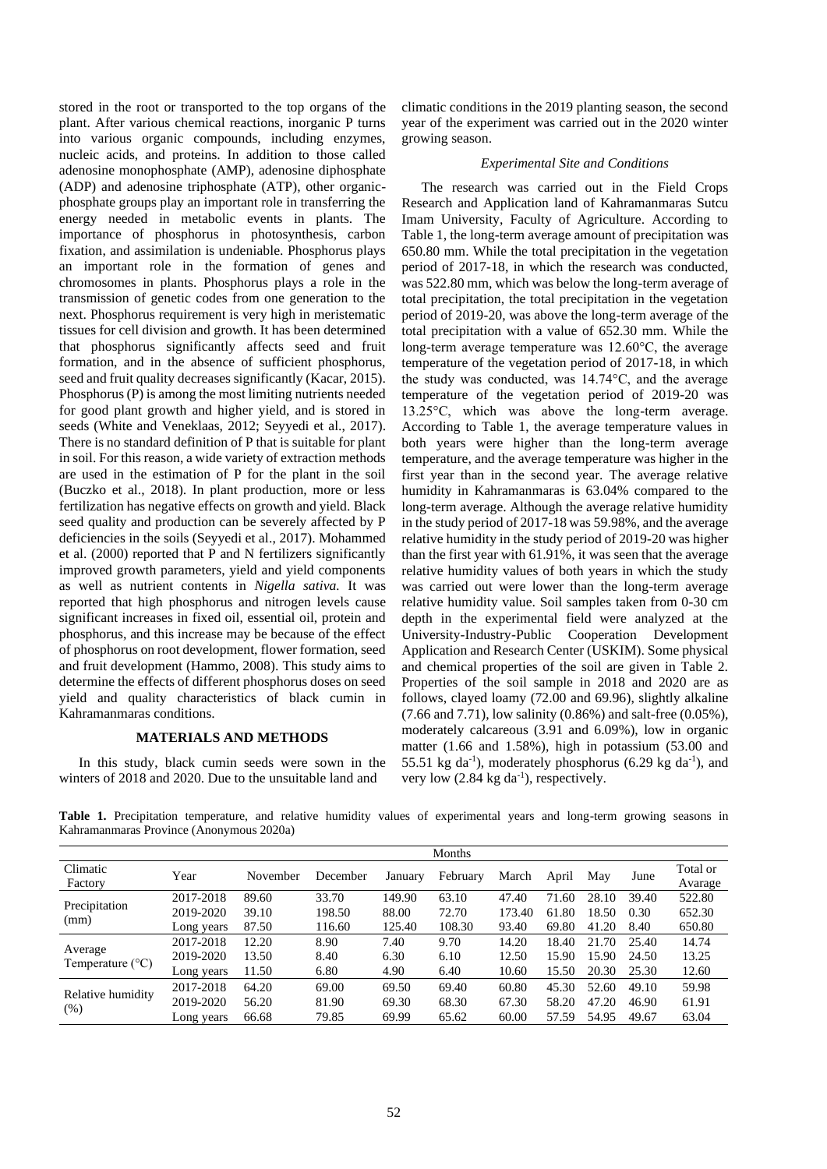stored in the root or transported to the top organs of the plant. After various chemical reactions, inorganic P turns into various organic compounds, including enzymes, nucleic acids, and proteins. In addition to those called adenosine monophosphate (AMP), adenosine diphosphate (ADP) and adenosine triphosphate (ATP), other organicphosphate groups play an important role in transferring the energy needed in metabolic events in plants. The importance of phosphorus in photosynthesis, carbon fixation, and assimilation is undeniable. Phosphorus plays an important role in the formation of genes and chromosomes in plants. Phosphorus plays a role in the transmission of genetic codes from one generation to the next. Phosphorus requirement is very high in meristematic tissues for cell division and growth. It has been determined that phosphorus significantly affects seed and fruit formation, and in the absence of sufficient phosphorus, seed and fruit quality decreases significantly (Kacar, 2015). Phosphorus (P) is among the most limiting nutrients needed for good plant growth and higher yield, and is stored in seeds (White and Veneklaas, 2012; Seyyedi et al., 2017). There is no standard definition of P that is suitable for plant in soil. For this reason, a wide variety of extraction methods are used in the estimation of P for the plant in the soil (Buczko et al., 2018). In plant production, more or less fertilization has negative effects on growth and yield. Black seed quality and production can be severely affected by P deficiencies in the soils (Seyyedi et al., 2017). Mohammed et al. (2000) reported that P and N fertilizers significantly improved growth parameters, yield and yield components as well as nutrient contents in *Nigella sativa.* It was reported that high phosphorus and nitrogen levels cause significant increases in fixed oil, essential oil, protein and phosphorus, and this increase may be because of the effect of phosphorus on root development, flower formation, seed and fruit development (Hammo, 2008). This study aims to determine the effects of different phosphorus doses on seed yield and quality characteristics of black cumin in Kahramanmaras conditions.

# **MATERIALS AND METHODS**

In this study, black cumin seeds were sown in the winters of 2018 and 2020. Due to the unsuitable land and

climatic conditions in the 2019 planting season, the second year of the experiment was carried out in the 2020 winter growing season.

### *Experimental Site and Conditions*

The research was carried out in the Field Crops Research and Application land of Kahramanmaras Sutcu Imam University, Faculty of Agriculture. According to Table 1, the long-term average amount of precipitation was 650.80 mm. While the total precipitation in the vegetation period of 2017-18, in which the research was conducted, was 522.80 mm, which was below the long-term average of total precipitation, the total precipitation in the vegetation period of 2019-20, was above the long-term average of the total precipitation with a value of 652.30 mm. While the long-term average temperature was  $12.60^{\circ}$ C, the average temperature of the vegetation period of 2017-18, in which the study was conducted, was 14.74°C, and the average temperature of the vegetation period of 2019-20 was 13.25°C, which was above the long-term average. According to Table 1, the average temperature values in both years were higher than the long-term average temperature, and the average temperature was higher in the first year than in the second year. The average relative humidity in Kahramanmaras is 63.04% compared to the long-term average. Although the average relative humidity in the study period of 2017-18 was 59.98%, and the average relative humidity in the study period of 2019-20 was higher than the first year with 61.91%, it was seen that the average relative humidity values of both years in which the study was carried out were lower than the long-term average relative humidity value. Soil samples taken from 0-30 cm depth in the experimental field were analyzed at the University-Industry-Public Cooperation Development Application and Research Center (USKIM). Some physical and chemical properties of the soil are given in Table 2. Properties of the soil sample in 2018 and 2020 are as follows, clayed loamy (72.00 and 69.96), slightly alkaline (7.66 and 7.71), low salinity (0.86%) and salt-free (0.05%), moderately calcareous (3.91 and 6.09%), low in organic matter (1.66 and 1.58%), high in potassium (53.00 and 55.51 kg da<sup>-1</sup>), moderately phosphorus  $(6.29 \text{ kg da}^{-1})$ , and very low  $(2.84 \text{ kg da}^{-1})$ , respectively.

**Table 1.** Precipitation temperature, and relative humidity values of experimental years and long-term growing seasons in Kahramanmaras Province (Anonymous 2020a)

|                           |            | Months   |          |         |          |        |       |       |       |                     |  |
|---------------------------|------------|----------|----------|---------|----------|--------|-------|-------|-------|---------------------|--|
| Climatic<br>Factory       | Year       | November | December | January | February | March  | April | May   | June  | Total or<br>Avarage |  |
|                           | 2017-2018  | 89.60    | 33.70    | 149.90  | 63.10    | 47.40  | 71.60 | 28.10 | 39.40 | 522.80              |  |
| Precipitation             |            |          |          |         |          |        |       |       |       |                     |  |
| (mm)                      | 2019-2020  | 39.10    | 198.50   | 88.00   | 72.70    | 173.40 | 61.80 | 18.50 | 0.30  | 652.30              |  |
|                           | Long years | 87.50    | 116.60   | 125.40  | 108.30   | 93.40  | 69.80 | 41.20 | 8.40  | 650.80              |  |
|                           | 2017-2018  | 12.20    | 8.90     | 7.40    | 9.70     | 14.20  | 18.40 | 21.70 | 25.40 | 14.74               |  |
| Average                   | 2019-2020  | 13.50    | 8.40     | 6.30    | 6.10     | 12.50  | 15.90 | 15.90 | 24.50 | 13.25               |  |
| Temperature $(^{\circ}C)$ | Long years | 11.50    | 6.80     | 4.90    | 6.40     | 10.60  | 15.50 | 20.30 | 25.30 | 12.60               |  |
| Relative humidity<br>(% ) | 2017-2018  | 64.20    | 69.00    | 69.50   | 69.40    | 60.80  | 45.30 | 52.60 | 49.10 | 59.98               |  |
|                           | 2019-2020  | 56.20    | 81.90    | 69.30   | 68.30    | 67.30  | 58.20 | 47.20 | 46.90 | 61.91               |  |
|                           | Long years | 66.68    | 79.85    | 69.99   | 65.62    | 60.00  | 57.59 | 54.95 | 49.67 | 63.04               |  |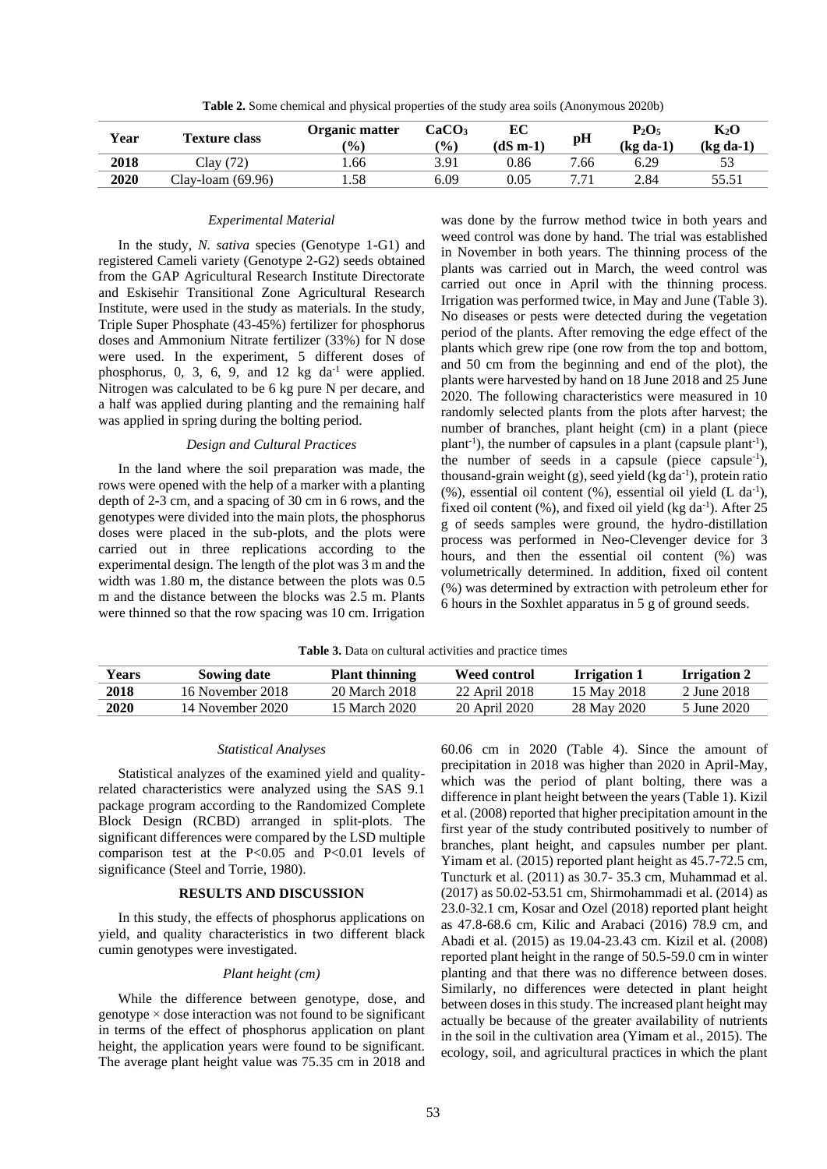**Table 2.** Some chemical and physical properties of the study area soils (Anonymous 2020b)

| Year | <b>Texture class</b> | Organic matter<br>$\frac{1}{2}$ | CaCO <sub>3</sub><br>$($ %) | EС<br>(dS m-1) | pH   | $P_2O_5$<br>$(kg da-1)$ | $K_2O$<br>$(kg da-1)$ |
|------|----------------------|---------------------------------|-----------------------------|----------------|------|-------------------------|-----------------------|
| 2018 | Clav (<br>(72)       | .66                             | 3.91                        | 0.86           | 7.66 | 6.29                    | 53                    |
| 2020 | Clay-loam (69.96)    | . . 58                          | 6.09                        | 0.05           |      | 2.84                    | 55.51                 |

#### *Experimental Material*

In the study, *N. sativa* species (Genotype 1-G1) and registered Cameli variety (Genotype 2-G2) seeds obtained from the GAP Agricultural Research Institute Directorate and Eskisehir [Transitional Zone Agricultural Research](https://arastirma.tarimorman.gov.tr/gktaem/Sayfalar/EN/AnaSayfa.aspx)  [Institute,](https://arastirma.tarimorman.gov.tr/gktaem/Sayfalar/EN/AnaSayfa.aspx) were used in the study as materials. In the study, Triple Super Phosphate (43-45%) fertilizer for phosphorus doses and Ammonium Nitrate fertilizer (33%) for N dose were used. In the experiment, 5 different doses of phosphorus, 0, 3, 6, 9, and 12 kg  $da^{-1}$  were applied. Nitrogen was calculated to be 6 kg pure N per decare, and a half was applied during planting and the remaining half was applied in spring during the bolting period.

#### *Design and Cultural Practices*

In the land where the soil preparation was made, the rows were opened with the help of a marker with a planting depth of 2-3 cm, and a spacing of 30 cm in 6 rows, and the genotypes were divided into the main plots, the phosphorus doses were placed in the sub-plots, and the plots were carried out in three replications according to the experimental design. The length of the plot was 3 m and the width was 1.80 m, the distance between the plots was 0.5 m and the distance between the blocks was 2.5 m. Plants were thinned so that the row spacing was 10 cm. Irrigation

was done by the furrow method twice in both years and weed control was done by hand. The trial was established in November in both years. The thinning process of the plants was carried out in March, the weed control was carried out once in April with the thinning process. Irrigation was performed twice, in May and June (Table 3). No diseases or pests were detected during the vegetation period of the plants. After removing the edge effect of the plants which grew ripe (one row from the top and bottom, and 50 cm from the beginning and end of the plot), the plants were harvested by hand on 18 June 2018 and 25 June 2020. The following characteristics were measured in 10 randomly selected plants from the plots after harvest; the number of branches, plant height (cm) in a plant (piece  $plant^{-1}$ ), the number of capsules in a plant (capsule plant<sup>-1</sup>), the number of seeds in a capsule (piece capsule<sup>-1</sup>), thousand-grain weight  $(g)$ , seed yield  $(kg da^{-1})$ , protein ratio  $(\%)$ , essential oil content  $(\%)$ , essential oil yield (L da<sup>-1</sup>), fixed oil content  $(\%)$ , and fixed oil yield (kg da<sup>-1</sup>). After 25 g of seeds samples were ground, the hydro-distillation process was performed in Neo-Clevenger device for 3 hours, and then the essential oil content (%) was volumetrically determined. In addition, fixed oil content (%) was determined by extraction with petroleum ether for 6 hours in the Soxhlet apparatus in 5 g of ground seeds.

**Table 3.** Data on cultural activities and practice times

| Years | Sowing date      | <b>Plant thinning</b> | Weed control  | <b>Irrigation 1</b> | <b>Irrigation 2</b> |
|-------|------------------|-----------------------|---------------|---------------------|---------------------|
| 2018  | 16 November 2018 | 20 March 2018         | 22 April 2018 | 15 May 2018         | 2 June 2018         |
| 2020  | 14 November 2020 | 15 March 2020         | 20 April 2020 | 28 May 2020         | 5 June 2020         |

#### *Statistical Analyses*

Statistical analyzes of the examined yield and qualityrelated characteristics were analyzed using the SAS 9.1 package program according to the Randomized Complete Block Design (RCBD) arranged in split-plots. The significant differences were compared by the LSD multiple comparison test at the P<0.05 and P<0.01 levels of significance (Steel and Torrie, 1980).

# **RESULTS AND DISCUSSION**

In this study, the effects of phosphorus applications on yield, and quality characteristics in two different black cumin genotypes were investigated.

#### *Plant height (cm)*

While the difference between genotype, dose, and genotype  $\times$  dose interaction was not found to be significant in terms of the effect of phosphorus application on plant height, the application years were found to be significant. The average plant height value was 75.35 cm in 2018 and 60.06 cm in 2020 (Table 4). Since the amount of precipitation in 2018 was higher than 2020 in April-May, which was the period of plant bolting, there was a difference in plant height between the years (Table 1). Kizil et al. (2008) reported that higher precipitation amount in the first year of the study contributed positively to number of branches, plant height, and capsules number per plant. Yimam et al. (2015) reported plant height as 45.7-72.5 cm, Tuncturk et al. (2011) as 30.7- 35.3 cm, Muhammad et al. (2017) as 50.02-53.51 cm, Shirmohammadi et al. (2014) as 23.0-32.1 cm, Kosar and Ozel (2018) reported plant height as 47.8-68.6 cm, Kilic and Arabaci (2016) 78.9 cm, and Abadi et al. (2015) as 19.04-23.43 cm. Kizil et al. (2008) reported plant height in the range of 50.5-59.0 cm in winter planting and that there was no difference between doses. Similarly, no differences were detected in plant height between doses in this study. The increased plant height may actually be because of the greater availability of nutrients in the soil in the cultivation area (Yimam et al., 2015). The ecology, soil, and agricultural practices in which the plant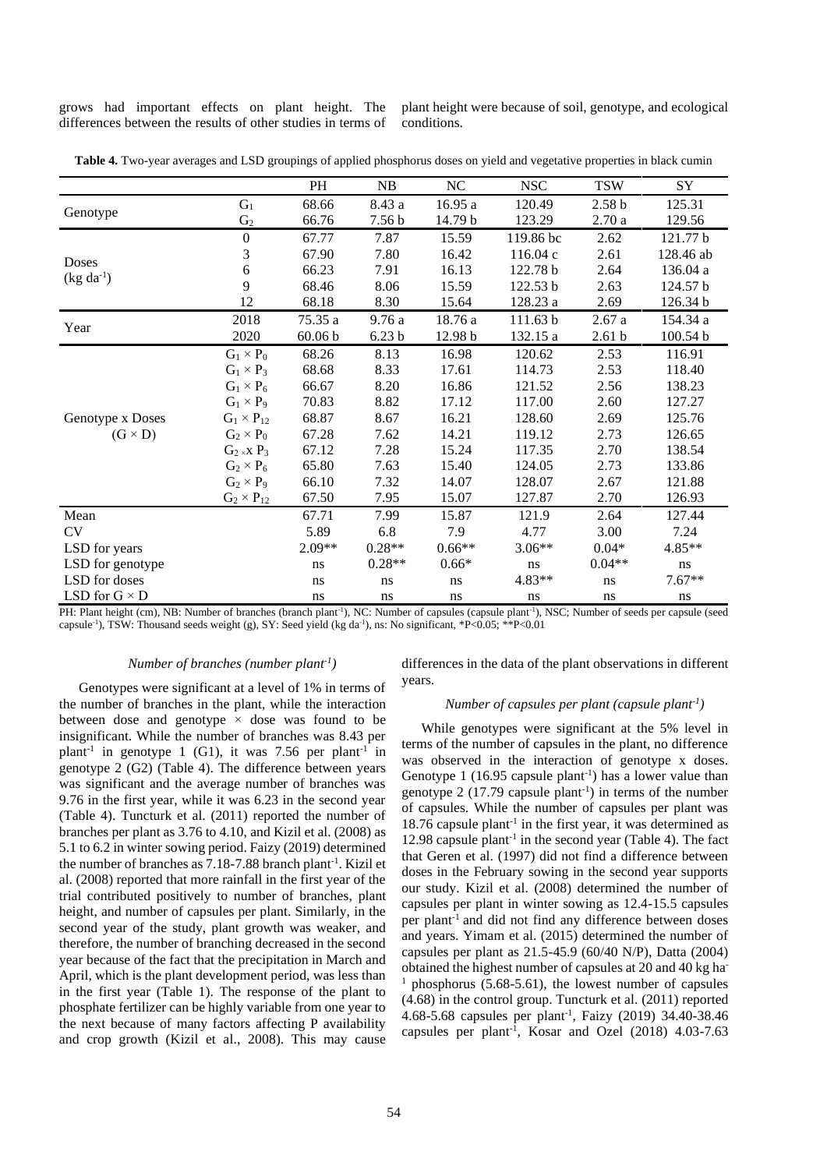grows had important effects on plant height. The differences between the results of other studies in terms of

plant height were because of soil, genotype, and ecological conditions.

|                                    |                     | PH                 | NB                | $\rm NC$ | <b>NSC</b> | <b>TSW</b>        | SY        |
|------------------------------------|---------------------|--------------------|-------------------|----------|------------|-------------------|-----------|
|                                    | $G_1$               | 68.66              | 8.43 a            | 16.95 a  | 120.49     | 2.58 <sub>b</sub> | 125.31    |
| Genotype                           | G <sub>2</sub>      | 66.76              | 7.56 b            | 14.79 b  | 123.29     | 2.70a             | 129.56    |
|                                    | $\boldsymbol{0}$    | 67.77              | 7.87              | 15.59    | 119.86 bc  | 2.62              | 121.77 b  |
| Doses                              | 3                   | 67.90              | 7.80              | 16.42    | 116.04 c   | 2.61              | 128.46 ab |
|                                    | 6                   | 66.23              | 7.91              | 16.13    | 122.78 b   | 2.64              | 136.04 a  |
| $(kg da^{-1})$                     | 9                   | 68.46              | 8.06              | 15.59    | 122.53 b   | 2.63              | 124.57 b  |
|                                    | 12                  | 68.18              | 8.30              | 15.64    | 128.23 a   | 2.69              | 126.34 b  |
| Year                               | 2018                | 75.35 a            | 9.76 a            | 18.76 a  | 111.63 b   | 2.67a             | 154.34 a  |
|                                    | 2020                | 60.06 <sub>b</sub> | 6.23 <sub>b</sub> | 12.98 b  | 132.15 a   | 2.61 <sub>b</sub> | 100.54 b  |
|                                    | $G_1 \times P_0$    | 68.26              | 8.13              | 16.98    | 120.62     | 2.53              | 116.91    |
|                                    | $G_1 \times P_3$    | 68.68              | 8.33              | 17.61    | 114.73     | 2.53              | 118.40    |
|                                    | $G_1 \times P_6$    | 66.67              | 8.20              | 16.86    | 121.52     | 2.56              | 138.23    |
|                                    | $G_1 \times P_9$    | 70.83              | 8.82              | 17.12    | 117.00     | 2.60              | 127.27    |
| Genotype x Doses<br>$(G \times D)$ | $G_1 \times P_{12}$ | 68.87              | 8.67              | 16.21    | 128.60     | 2.69              | 125.76    |
|                                    | $G_2 \times P_0$    | 67.28              | 7.62              | 14.21    | 119.12     | 2.73              | 126.65    |
|                                    | $G_2 \times R_3$    | 67.12              | 7.28              | 15.24    | 117.35     | 2.70              | 138.54    |
|                                    | $G_2 \times P_6$    | 65.80              | 7.63              | 15.40    | 124.05     | 2.73              | 133.86    |
|                                    | $G_2 \times P_9$    | 66.10              | 7.32              | 14.07    | 128.07     | 2.67              | 121.88    |
|                                    | $G_2 \times P_{12}$ | 67.50              | 7.95              | 15.07    | 127.87     | 2.70              | 126.93    |
| Mean                               |                     | 67.71              | 7.99              | 15.87    | 121.9      | 2.64              | 127.44    |
| CV                                 |                     | 5.89               | 6.8               | 7.9      | 4.77       | 3.00              | 7.24      |
| LSD for years                      |                     | 2.09**             | $0.28**$          | $0.66**$ | $3.06**$   | $0.04*$           | $4.85**$  |
| LSD for genotype                   |                     | ns                 | $0.28**$          | $0.66*$  | ns         | $0.04**$          | ns        |
| LSD for doses                      |                     | ns                 | ns                | ns       | 4.83**     | ns                | $7.67**$  |
| LSD for $G \times D$               |                     | ns                 | ns                | ns       | ns         | ns                | ns        |

**Table 4.** Two-year averages and LSD groupings of applied phosphorus doses on yield and vegetative properties in black cumin

PH: Plant height (cm), NB: Number of branches (branch plant<sup>-1</sup>), NC: Number of capsules (capsule plant<sup>-1</sup>), NSC; Number of seeds per capsule (seed capsule<sup>-1</sup>), TSW: Thousand seeds weight (g), SY: Seed yield (kg da<sup>-1</sup>), ns: No significant, \*P<0.05; \*\*P<0.01

### *Number of branches (number plant-1 )*

Genotypes were significant at a level of 1% in terms of the number of branches in the plant, while the interaction between dose and genotype  $\times$  dose was found to be insignificant. While the number of branches was 8.43 per plant<sup>-1</sup> in genotype 1 (G1), it was 7.56 per plant<sup>-1</sup> in genotype 2 (G2) (Table 4). The difference between years was significant and the average number of branches was 9.76 in the first year, while it was 6.23 in the second year (Table 4). Tuncturk et al. (2011) reported the number of branches per plant as 3.76 to 4.10, and Kizil et al. (2008) as 5.1 to 6.2 in winter sowing period. Faizy (2019) determined the number of branches as  $7.18$ -7.88 branch plant<sup>-1</sup>. Kizil et al. (2008) reported that more rainfall in the first year of the trial contributed positively to number of branches, plant height, and number of capsules per plant. Similarly, in the second year of the study, plant growth was weaker, and therefore, the number of branching decreased in the second year because of the fact that the precipitation in March and April, which is the plant development period, was less than in the first year (Table 1). The response of the plant to phosphate fertilizer can be highly variable from one year to the next because of many factors affecting P availability and crop growth (Kizil et al., 2008). This may cause

differences in the data of the plant observations in different years.

### *Number of capsules per plant (capsule plant-1 )*

While genotypes were significant at the 5% level in terms of the number of capsules in the plant, no difference was observed in the interaction of genotype x doses. Genotype  $1$  (16.95 capsule plant<sup>-1</sup>) has a lower value than genotype  $2(17.79 \text{ capsule plant}^{-1})$  in terms of the number of capsules. While the number of capsules per plant was 18.76 capsule plant-1 in the first year, it was determined as 12.98 capsule plant<sup>-1</sup> in the second year (Table 4). The fact that Geren et al. (1997) did not find a difference between doses in the February sowing in the second year supports our study. Kizil et al. (2008) determined the number of capsules per plant in winter sowing as 12.4-15.5 capsules per plant-1 and did not find any difference between doses and years. Yimam et al. (2015) determined the number of capsules per plant as 21.5-45.9 (60/40 N/P), Datta (2004) obtained the highest number of capsules at 20 and 40 kg haphosphorus  $(5.68-5.61)$ , the lowest number of capsules (4.68) in the control group. Tuncturk et al. (2011) reported 4.68-5.68 capsules per plant-1 , Faizy (2019) 34.40-38.46 capsules per plant-1 , Kosar and Ozel (2018) 4.03-7.63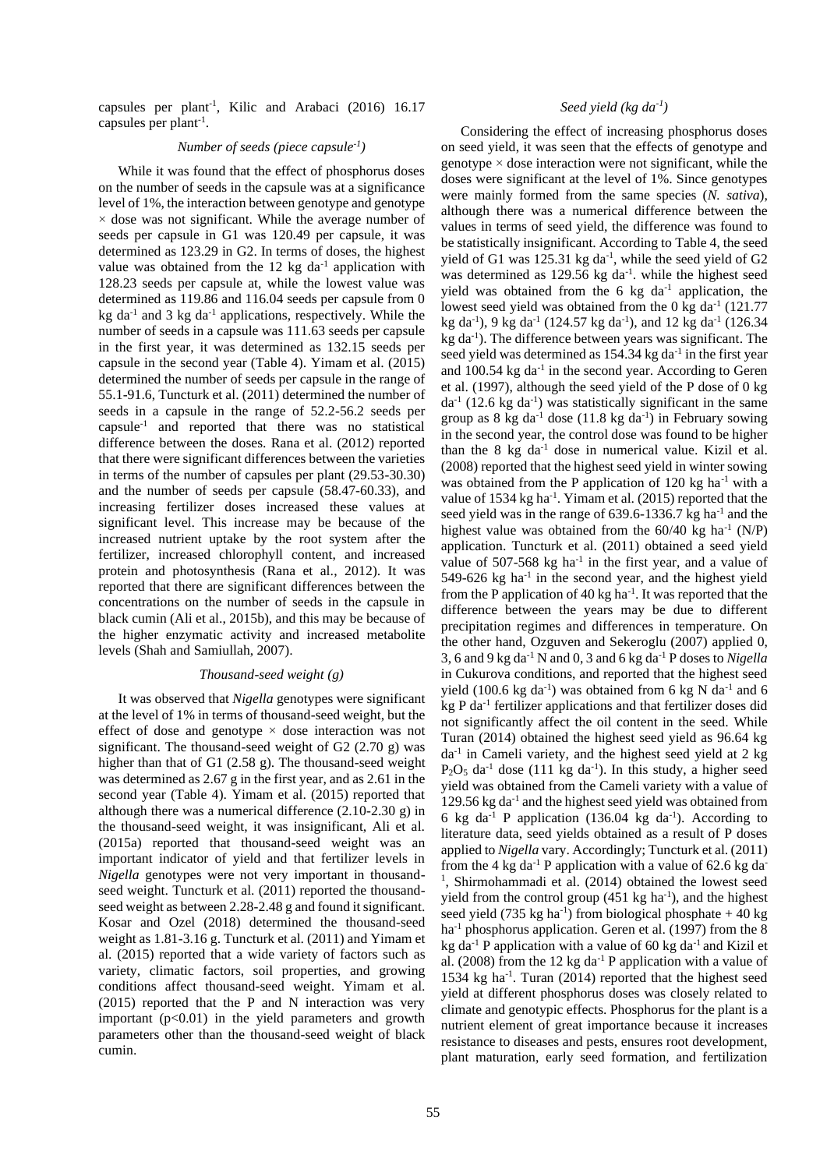capsules per plant-1 , Kilic and Arabaci (2016) 16.17 capsules per plant<sup>-1</sup>.

### *Number of seeds (piece capsule-1 )*

While it was found that the effect of phosphorus doses on the number of seeds in the capsule was at a significance level of 1%, the interaction between genotype and genotype × dose was not significant. While the average number of seeds per capsule in G1 was 120.49 per capsule, it was determined as 123.29 in G2. In terms of doses, the highest value was obtained from the  $12$  kg da<sup>-1</sup> application with 128.23 seeds per capsule at, while the lowest value was determined as 119.86 and 116.04 seeds per capsule from 0 kg da<sup>-1</sup> and 3 kg da<sup>-1</sup> applications, respectively. While the number of seeds in a capsule was 111.63 seeds per capsule in the first year, it was determined as 132.15 seeds per capsule in the second year (Table 4). Yimam et al. (2015) determined the number of seeds per capsule in the range of 55.1-91.6, Tuncturk et al. (2011) determined the number of seeds in a capsule in the range of 52.2-56.2 seeds per capsule-1 and reported that there was no statistical difference between the doses. Rana et al. (2012) reported that there were significant differences between the varieties in terms of the number of capsules per plant (29.53-30.30) and the number of seeds per capsule (58.47-60.33), and increasing fertilizer doses increased these values at significant level. This increase may be because of the increased nutrient uptake by the root system after the fertilizer, increased chlorophyll content, and increased protein and photosynthesis (Rana et al., 2012). It was reported that there are significant differences between the concentrations on the number of seeds in the capsule in black cumin (Ali et al., 2015b), and this may be because of the higher enzymatic activity and increased metabolite levels (Shah and Samiullah, 2007).

### *Thousand-seed weight (g)*

It was observed that *Nigella* genotypes were significant at the level of 1% in terms of thousand-seed weight, but the effect of dose and genotype  $\times$  dose interaction was not significant. The thousand-seed weight of G2 (2.70 g) was higher than that of G1 (2.58 g). The thousand-seed weight was determined as 2.67 g in the first year, and as 2.61 in the second year (Table 4). Yimam et al. (2015) reported that although there was a numerical difference (2.10-2.30 g) in the thousand-seed weight, it was insignificant, Ali et al. (2015a) reported that thousand-seed weight was an important indicator of yield and that fertilizer levels in *Nigella* genotypes were not very important in thousandseed weight. Tuncturk et al. (2011) reported the thousandseed weight as between 2.28-2.48 g and found it significant. Kosar and Ozel (2018) determined the thousand-seed weight as 1.81-3.16 g. Tuncturk et al. (2011) and Yimam et al. (2015) reported that a wide variety of factors such as variety, climatic factors, soil properties, and growing conditions affect thousand-seed weight. Yimam et al. (2015) reported that the P and N interaction was very important  $(p<0.01)$  in the yield parameters and growth parameters other than the thousand-seed weight of black cumin.

### *Seed yield (kg da-1 )*

Considering the effect of increasing phosphorus doses on seed yield, it was seen that the effects of genotype and genotype  $\times$  dose interaction were not significant, while the doses were significant at the level of 1%. Since genotypes were mainly formed from the same species (*N. sativa*), although there was a numerical difference between the values in terms of seed yield, the difference was found to be statistically insignificant. According to Table 4, the seed yield of G1 was  $125.31$  kg da<sup>-1</sup>, while the seed yield of G2 was determined as 129.56 kg da<sup>-1</sup>. while the highest seed yield was obtained from the  $6 \text{ kg}$  da<sup>-1</sup> application, the lowest seed yield was obtained from the  $0 \text{ kg}$  da<sup>-1</sup> (121.77) kg da<sup>-1</sup>), 9 kg da<sup>-1</sup> (124.57 kg da<sup>-1</sup>), and 12 kg da<sup>-1</sup> (126.34) kg da<sup>-1</sup>). The difference between years was significant. The seed yield was determined as  $154.34$  kg da<sup>-1</sup> in the first year and 100.54 kg da<sup>-1</sup> in the second year. According to Geren et al. (1997), although the seed yield of the P dose of 0 kg  $da^{-1}$  (12.6 kg  $da^{-1}$ ) was statistically significant in the same group as  $8 \text{ kg} \text{ da}^{-1}$  dose (11.8 kg da<sup>-1</sup>) in February sowing in the second year, the control dose was found to be higher than the 8 kg  $da^{-1}$  dose in numerical value. Kizil et al. (2008) reported that the highest seed yield in winter sowing was obtained from the P application of  $120 \text{ kg}$  ha<sup>-1</sup> with a value of 1534 kg ha<sup>-1</sup>. Yimam et al. (2015) reported that the seed yield was in the range of  $639.6 - 1336.7$  kg ha<sup>-1</sup> and the highest value was obtained from the  $60/40$  kg ha<sup>-1</sup> (N/P) application. Tuncturk et al. (2011) obtained a seed yield value of  $507-568$  kg ha<sup>-1</sup> in the first year, and a value of  $549-626$  kg ha<sup>-1</sup> in the second year, and the highest yield from the P application of  $40 \text{ kg}$  ha<sup>-1</sup>. It was reported that the difference between the years may be due to different precipitation regimes and differences in temperature. On the other hand, Ozguven and Sekeroglu (2007) applied 0, 3, 6 and 9 kg da-1 N and 0, 3 and 6 kg da-1 P doses to *Nigella* in Cukurova conditions, and reported that the highest seed yield (100.6 kg da<sup>-1</sup>) was obtained from 6 kg N da<sup>-1</sup> and 6 kg P da<sup>-1</sup> fertilizer applications and that fertilizer doses did not significantly affect the oil content in the seed. While Turan (2014) obtained the highest seed yield as 96.64 kg da-1 in Cameli variety, and the highest seed yield at 2 kg  $P_2O_5$  da<sup>-1</sup> dose (111 kg da<sup>-1</sup>). In this study, a higher seed yield was obtained from the Cameli variety with a value of 129.56 kg da<sup>-1</sup> and the highest seed yield was obtained from 6 kg da<sup>-1</sup> P application (136.04 kg da<sup>-1</sup>). According to literature data, seed yields obtained as a result of P doses applied to *Nigella* vary. Accordingly; Tuncturk et al. (2011) from the 4 kg da<sup>-1</sup> P application with a value of  $62.6$  kg da<sup>-1</sup> <sup>1</sup>, Shirmohammadi et al. (2014) obtained the lowest seed yield from the control group  $(451 \text{ kg ha}^{-1})$ , and the highest seed yield (735 kg ha<sup>-1</sup>) from biological phosphate  $+40$  kg ha<sup>-1</sup> phosphorus application. Geren et al. (1997) from the 8 kg da<sup>-1</sup> P application with a value of 60 kg da<sup>-1</sup> and Kizil et al. (2008) from the 12 kg da<sup>-1</sup> P application with a value of 1534 kg ha-1 . Turan (2014) reported that the highest seed yield at different phosphorus doses was closely related to climate and genotypic effects. Phosphorus for the plant is a nutrient element of great importance because it increases resistance to diseases and pests, ensures root development, plant maturation, early seed formation, and fertilization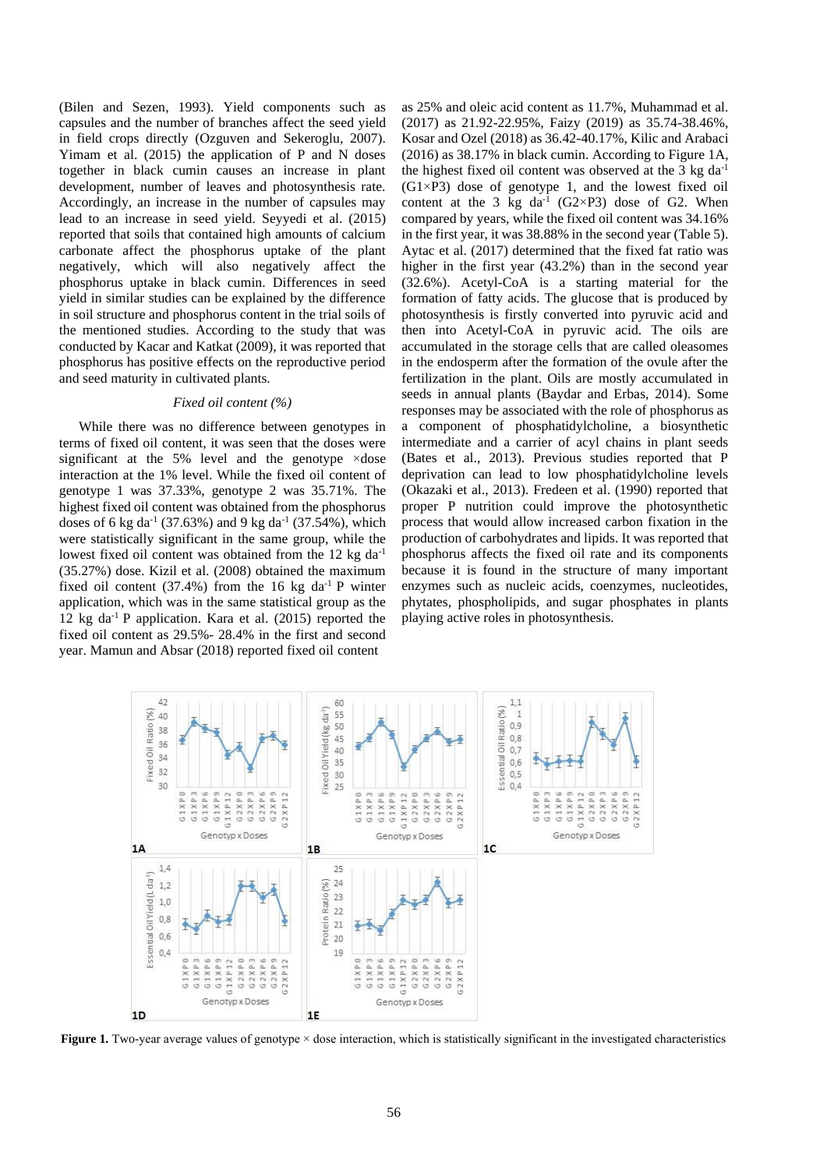(Bilen and Sezen, 1993). Yield components such as capsules and the number of branches affect the seed yield in field crops directly (Ozguven and Sekeroglu, 2007). Yimam et al. (2015) the application of P and N doses together in black cumin causes an increase in plant development, number of leaves and photosynthesis rate. Accordingly, an increase in the number of capsules may lead to an increase in seed yield. Seyyedi et al. (2015) reported that soils that contained high amounts of calcium carbonate affect the phosphorus uptake of the plant negatively, which will also negatively affect the phosphorus uptake in black cumin. Differences in seed yield in similar studies can be explained by the difference in soil structure and phosphorus content in the trial soils of the mentioned studies. According to the study that was conducted by Kacar and Katkat (2009), it was reported that phosphorus has positive effects on the reproductive period and seed maturity in cultivated plants.

### *Fixed oil content (%)*

While there was no difference between genotypes in terms of fixed oil content, it was seen that the doses were significant at the 5% level and the genotype ×dose interaction at the 1% level. While the fixed oil content of genotype 1 was 37.33%, genotype 2 was 35.71%. The highest fixed oil content was obtained from the phosphorus doses of 6 kg da<sup>-1</sup> (37.63%) and 9 kg da<sup>-1</sup> (37.54%), which were statistically significant in the same group, while the lowest fixed oil content was obtained from the 12 kg da<sup>-1</sup> (35.27%) dose. Kizil et al. (2008) obtained the maximum fixed oil content (37.4%) from the 16 kg da<sup>-1</sup> P winter application, which was in the same statistical group as the 12 kg da<sup>-1</sup> P application. Kara et al.  $(2015)$  reported the fixed oil content as 29.5%- 28.4% in the first and second year. Mamun and Absar (2018) reported fixed oil content

as 25% and oleic acid content as 11.7%, Muhammad et al. (2017) as 21.92-22.95%, Faizy (2019) as 35.74-38.46%, Kosar and Ozel (2018) as 36.42-40.17%, Kilic and Arabaci (2016) as 38.17% in black cumin. According to Figure 1A, the highest fixed oil content was observed at the  $3 \text{ kg } da^{-1}$  $(G1\times P3)$  dose of genotype 1, and the lowest fixed oil content at the  $3 \text{ kg}$  da<sup>-1</sup> (G2×P3) dose of G2. When compared by years, while the fixed oil content was 34.16% in the first year, it was 38.88% in the second year (Table 5). Aytac et al. (2017) determined that the fixed fat ratio was higher in the first year (43.2%) than in the second year (32.6%). Acetyl-CoA is a starting material for the formation of fatty acids. The glucose that is produced by photosynthesis is firstly converted into pyruvic acid and then into Acetyl-CoA in pyruvic acid. The oils are accumulated in the storage cells that are called oleasomes in the endosperm after the formation of the ovule after the fertilization in the plant. Oils are mostly accumulated in seeds in annual plants (Baydar and Erbas, 2014). Some responses may be associated with the role of phosphorus as a component of phosphatidylcholine, a biosynthetic intermediate and a carrier of acyl chains in plant seeds (Bates et al., 2013). Previous studies reported that P deprivation can lead to low phosphatidylcholine levels (Okazaki et al., 2013). Fredeen et al. (1990) reported that proper P nutrition could improve the photosynthetic process that would allow increased carbon fixation in the production of carbohydrates and lipids. It was reported that phosphorus affects the fixed oil rate and its components because it is found in the structure of many important enzymes such as nucleic acids, coenzymes, nucleotides, phytates, phospholipids, and sugar phosphates in plants playing active roles in photosynthesis.



Figure 1. Two-year average values of genotype × dose interaction, which is statistically significant in the investigated characteristics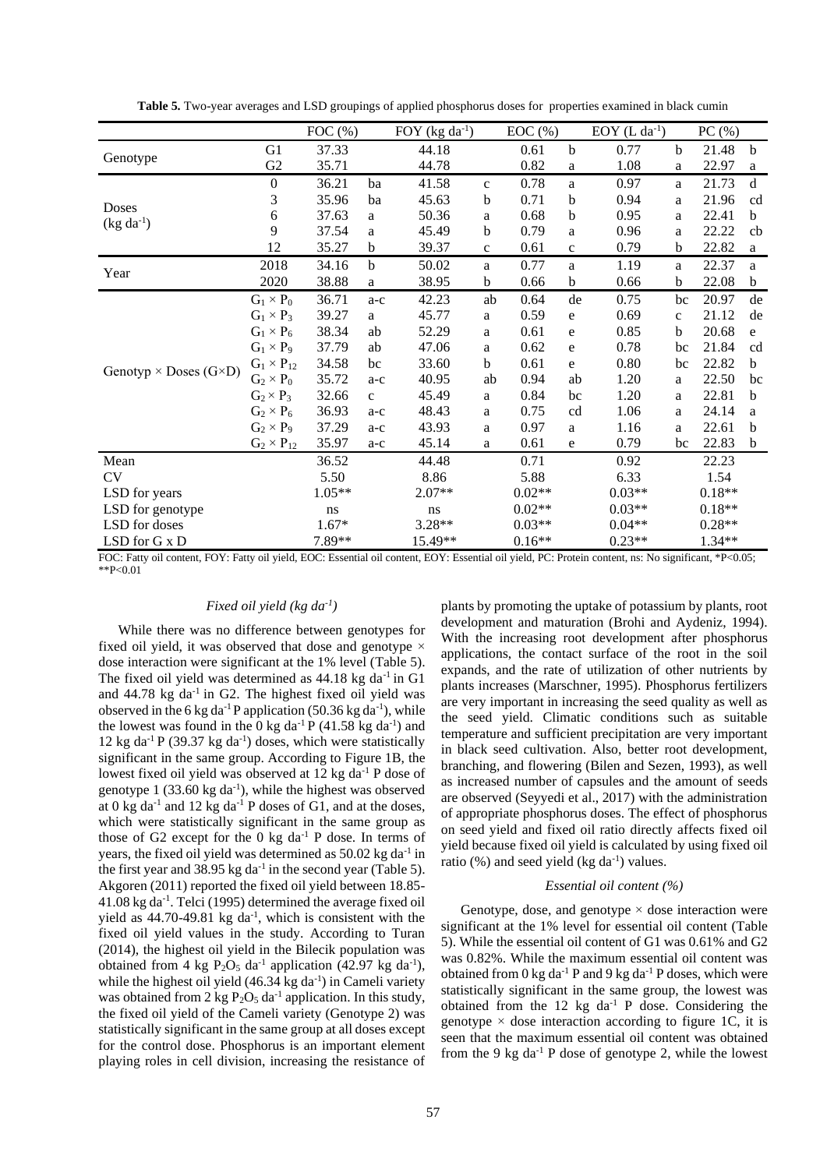|                                       |                     | FOC $(\% )$ |             | FOY $(kg da^{-1})$ |              | EOC(%)   |             | $EOY$ (L da <sup>-1</sup> ) |              | PC(%)    |             |
|---------------------------------------|---------------------|-------------|-------------|--------------------|--------------|----------|-------------|-----------------------------|--------------|----------|-------------|
| Genotype                              | G <sub>1</sub>      | 37.33       |             | 44.18              |              | 0.61     | b           | 0.77                        | b            | 21.48    | b           |
|                                       | G2                  | 35.71       |             | 44.78              |              | 0.82     | a           | 1.08                        | a            | 22.97    | a           |
|                                       | $\mathbf{0}$        | 36.21       | ba          | 41.58              | $\mathbf{C}$ | 0.78     | a           | 0.97                        | a            | 21.73    | d           |
| <b>Doses</b>                          | 3                   | 35.96       | ba          | 45.63              | b            | 0.71     | b           | 0.94                        | a            | 21.96    | cd          |
|                                       | 6                   | 37.63       | a           | 50.36              | a            | 0.68     | b           | 0.95                        | a            | 22.41    | $\mathbf b$ |
| $(kg da^{-1})$                        | 9                   | 37.54       | a           | 45.49              | b            | 0.79     | a           | 0.96                        | a            | 22.22    | cb          |
|                                       | 12                  | 35.27       | b           | 39.37              | $\mathbf{C}$ | 0.61     | $\mathbf c$ | 0.79                        | b            | 22.82    | a           |
| Year                                  | 2018                | 34.16       | $\mathbf b$ | 50.02              | a            | 0.77     | a           | 1.19                        | a            | 22.37    | a           |
|                                       | 2020                | 38.88       | a           | 38.95              | b            | 0.66     | b           | 0.66                        | b            | 22.08    | b           |
|                                       | $G_1 \times P_0$    | 36.71       | $a-c$       | 42.23              | ab           | 0.64     | de          | 0.75                        | bc           | 20.97    | de          |
|                                       | $G_1 \times P_3$    | 39.27       | a           | 45.77              | a            | 0.59     | e           | 0.69                        | $\mathbf{C}$ | 21.12    | de          |
|                                       | $G_1 \times P_6$    | 38.34       | ab          | 52.29              | a            | 0.61     | e           | 0.85                        | <sub>b</sub> | 20.68    | e           |
|                                       | $G_1 \times P_9$    | 37.79       | ab          | 47.06              | a            | 0.62     | e           | 0.78                        | bc           | 21.84    | cd          |
| Genotyp $\times$ Doses (G $\times$ D) | $G_1 \times P_{12}$ | 34.58       | bc          | 33.60              | b            | 0.61     | e           | 0.80                        | bc           | 22.82    | $\mathbf b$ |
|                                       | $G_2 \times P_0$    | 35.72       | $a-c$       | 40.95              | ab           | 0.94     | ab          | 1.20                        | a            | 22.50    | bc          |
|                                       | $G_2 \times P_3$    | 32.66       | $\mathbf c$ | 45.49              | a            | 0.84     | bc          | 1.20                        | a            | 22.81    | b           |
|                                       | $G_2 \times P_6$    | 36.93       | $a-c$       | 48.43              | a            | 0.75     | cd          | 1.06                        | a            | 24.14    | a           |
|                                       | $G_2 \times P_9$    | 37.29       | $a-c$       | 43.93              | a            | 0.97     | a           | 1.16                        | a            | 22.61    | b           |
|                                       | $G_2 \times P_{12}$ | 35.97       | $a-c$       | 45.14              | a            | 0.61     | e           | 0.79                        | bc           | 22.83    | b           |
| Mean                                  |                     | 36.52       |             | 44.48              |              | 0.71     |             | 0.92                        |              | 22.23    |             |
| <b>CV</b>                             |                     | 5.50        |             | 8.86               |              | 5.88     |             | 6.33                        |              | 1.54     |             |
| LSD for years                         |                     | $1.05**$    |             | $2.07**$           |              | $0.02**$ |             | $0.03**$                    |              | $0.18**$ |             |
| LSD for genotype                      |                     | ns          |             | ns                 |              | $0.02**$ |             | $0.03**$                    |              | $0.18**$ |             |
| LSD for doses                         |                     | $1.67*$     |             | 3.28**             |              | $0.03**$ |             | $0.04**$                    |              | $0.28**$ |             |
| LSD for G x D                         |                     | 7.89**      |             | 15.49**            |              | $0.16**$ |             | $0.23**$                    |              | 1.34**   |             |

**Table 5.** Two-year averages and LSD groupings of applied phosphorus doses for properties examined in black cumin

FOC: Fatty oil content, FOY: Fatty oil yield, EOC: Essential oil content, EOY: Essential oil yield, PC: Protein content, ns: No significant, \*P<0.05;  $*P<0.01$ 

### *Fixed oil yield (kg da-1 )*

While there was no difference between genotypes for fixed oil yield, it was observed that dose and genotype  $\times$ dose interaction were significant at the 1% level (Table 5). The fixed oil yield was determined as  $44.18$  kg da<sup>-1</sup> in G1 and  $44.78$  kg da<sup>-1</sup> in G2. The highest fixed oil yield was observed in the  $6 \text{ kg} \text{ da}^{-1}$  P application (50.36 kg da<sup>-1</sup>), while the lowest was found in the 0 kg da<sup>-1</sup> P (41.58 kg da<sup>-1</sup>) and 12 kg da<sup>-1</sup> P (39.37 kg da<sup>-1</sup>) doses, which were statistically significant in the same group. According to Figure 1B, the lowest fixed oil yield was observed at 12 kg da<sup>-1</sup> P dose of genotype  $1(33.60 \text{ kg da}^{-1})$ , while the highest was observed at 0 kg da<sup>-1</sup> and 12 kg da<sup>-1</sup> P doses of G1, and at the doses, which were statistically significant in the same group as those of G2 except for the  $0 \text{ kg } da^{-1}$  P dose. In terms of years, the fixed oil yield was determined as 50.02 kg da<sup>-1</sup> in the first year and 38.95 kg da<sup>-1</sup> in the second year (Table 5). Akgoren (2011) reported the fixed oil yield between 18.85- 41.08 kg da-1 . Telci (1995) determined the average fixed oil yield as  $44.70 - 49.81$  kg da<sup>-1</sup>, which is consistent with the fixed oil yield values in the study. According to Turan (2014), the highest oil yield in the Bilecik population was obtained from 4 kg  $P_2O_5$  da<sup>-1</sup> application (42.97 kg da<sup>-1</sup>), while the highest oil yield  $(46.34 \text{ kg da}^{-1})$  in Cameli variety was obtained from 2 kg  $P_2O_5$  da<sup>-1</sup> application. In this study, the fixed oil yield of the Cameli variety (Genotype 2) was statistically significant in the same group at all doses except for the control dose. Phosphorus is an important element playing roles in cell division, increasing the resistance of

plants by promoting the uptake of potassium by plants, root development and maturation (Brohi and Aydeniz, 1994). With the increasing root development after phosphorus applications, the contact surface of the root in the soil expands, and the rate of utilization of other nutrients by plants increases (Marschner, 1995). Phosphorus fertilizers are very important in increasing the seed quality as well as the seed yield. Climatic conditions such as suitable temperature and sufficient precipitation are very important in black seed cultivation. Also, better root development, branching, and flowering (Bilen and Sezen, 1993), as well as increased number of capsules and the amount of seeds are observed (Seyyedi et al., 2017) with the administration of appropriate phosphorus doses. The effect of phosphorus on seed yield and fixed oil ratio directly affects fixed oil yield because fixed oil yield is calculated by using fixed oil ratio  $(\%)$  and seed yield (kg da<sup>-1</sup>) values.

#### *Essential oil content (%)*

Genotype, dose, and genotype  $\times$  dose interaction were significant at the 1% level for essential oil content (Table 5). While the essential oil content of G1 was 0.61% and G2 was 0.82%. While the maximum essential oil content was obtained from  $0 \text{ kg} \text{ da}^{-1}$  P and  $9 \text{ kg} \text{ da}^{-1}$  P doses, which were statistically significant in the same group, the lowest was obtained from the  $12$  kg da<sup>-1</sup> P dose. Considering the genotype  $\times$  dose interaction according to figure 1C, it is seen that the maximum essential oil content was obtained from the 9 kg da<sup>-1</sup> P dose of genotype 2, while the lowest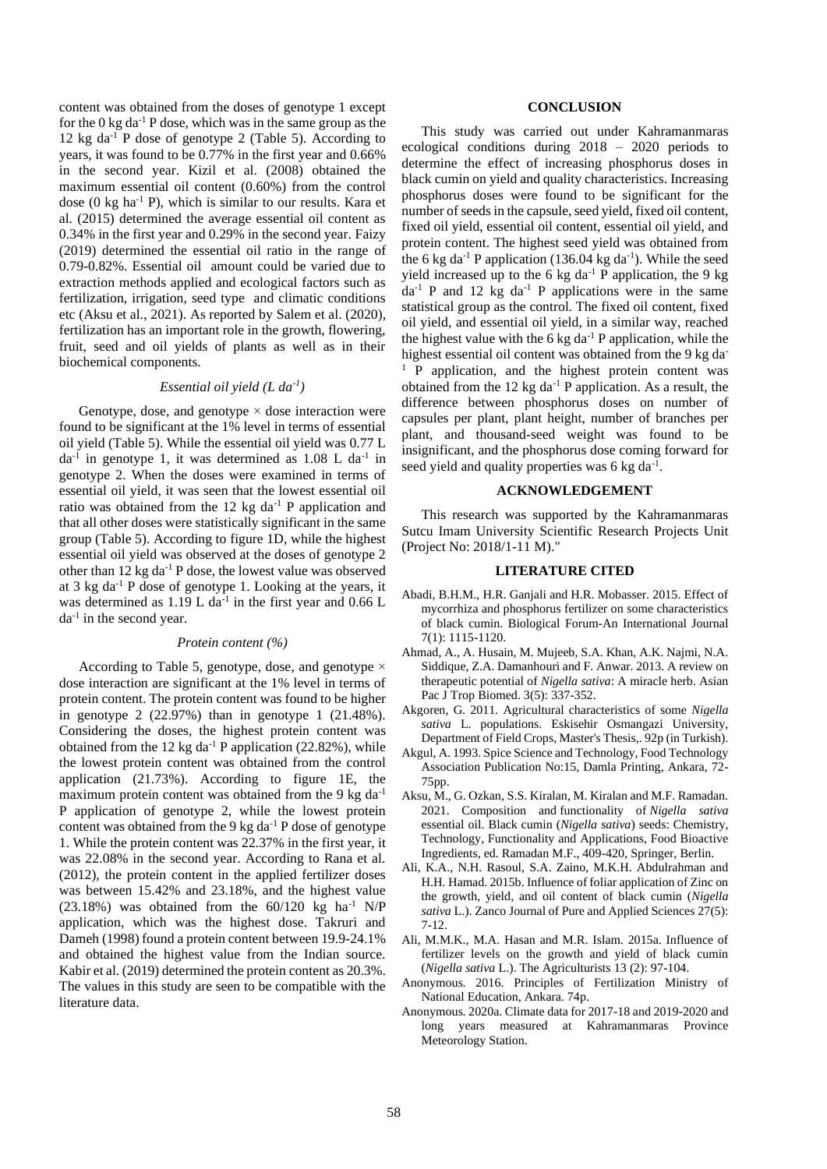content was obtained from the doses of genotype 1 except for the  $0 \text{ kg da}^{-1}$  P dose, which was in the same group as the 12 kg da<sup>-1</sup> P dose of genotype 2 (Table 5). According to years, it was found to be 0.77% in the first year and 0.66% in the second year. Kizil et al. (2008) obtained the maximum essential oil content (0.60%) from the control dose  $(0 \text{ kg ha}^{-1} \text{ P})$ , which is similar to our results. Kara et al. (2015) determined the average essential oil content as 0.34% in the first year and 0.29% in the second year. Faizy (2019) determined the essential oil ratio in the range of 0.79-0.82%. Essential oil amount could be varied due to extraction methods applied and ecological factors such as fertilization, irrigation, seed type and climatic conditions etc (Aksu et al., 2021). As reported by Salem et al. (2020), fertilization has an important role in the growth, flowering, fruit, seed and oil yields of plants as well as in their biochemical components.

### *Essential oil yield (L da-1 )*

Genotype, dose, and genotype  $\times$  dose interaction were found to be significant at the 1% level in terms of essential oil yield (Table 5). While the essential oil yield was 0.77 L  $da^{-1}$  in genotype 1, it was determined as 1.08 L  $da^{-1}$  in genotype 2. When the doses were examined in terms of essential oil yield, it was seen that the lowest essential oil ratio was obtained from the  $12 \text{ kg } da^{-1}$  P application and that all other doses were statistically significant in the same group (Table 5). According to figure 1D, while the highest essential oil yield was observed at the doses of genotype 2 other than 12 kg da-1 P dose, the lowest value was observed at 3 kg da-1 P dose of genotype 1. Looking at the years, it was determined as  $1.19$  L da<sup>-1</sup> in the first year and  $0.66$  L  $da^{-1}$  in the second year.

#### *Protein content (%)*

According to Table 5, genotype, dose, and genotype × dose interaction are significant at the 1% level in terms of protein content. The protein content was found to be higher in genotype 2 (22.97%) than in genotype 1 (21.48%). Considering the doses, the highest protein content was obtained from the 12 kg da<sup>-1</sup> P application (22.82%), while the lowest protein content was obtained from the control application (21.73%). According to figure 1E, the maximum protein content was obtained from the 9 kg da-1 P application of genotype 2, while the lowest protein content was obtained from the 9 kg da<sup>-1</sup> P dose of genotype 1. While the protein content was 22.37% in the first year, it was 22.08% in the second year. According to Rana et al. (2012), the protein content in the applied fertilizer doses was between 15.42% and 23.18%, and the highest value (23.18%) was obtained from the  $60/120$  kg ha<sup>-1</sup> N/P application, which was the highest dose. Takruri and Dameh (1998) found a protein content between 19.9-24.1% and obtained the highest value from the Indian source. Kabir et al. (2019) determined the protein content as 20.3%. The values in this study are seen to be compatible with the literature data.

## **CONCLUSION**

This study was carried out under Kahramanmaras ecological conditions during 2018 – 2020 periods to determine the effect of increasing phosphorus doses in black cumin on yield and quality characteristics. Increasing phosphorus doses were found to be significant for the number of seeds in the capsule, seed yield, fixed oil content, fixed oil yield, essential oil content, essential oil yield, and protein content. The highest seed yield was obtained from the 6 kg da<sup>-1</sup> P application (136.04 kg da<sup>-1</sup>). While the seed yield increased up to the 6 kg da<sup>-1</sup> P application, the 9 kg  $da^{-1}$  P and 12 kg  $da^{-1}$  P applications were in the same statistical group as the control. The fixed oil content, fixed oil yield, and essential oil yield, in a similar way, reached the highest value with the 6 kg da<sup>-1</sup> P application, while the highest essential oil content was obtained from the 9 kg da-<sup>1</sup> P application, and the highest protein content was obtained from the 12 kg da<sup>-1</sup> P application. As a result, the difference between phosphorus doses on number of capsules per plant, plant height, number of branches per plant, and thousand-seed weight was found to be insignificant, and the phosphorus dose coming forward for seed yield and quality properties was 6 kg da<sup>-1</sup>.

#### **ACKNOWLEDGEMENT**

This research was supported by the Kahramanmaras Sutcu Imam University Scientific Research Projects Unit (Project No: 2018/1-11 M)."

#### **LITERATURE CITED**

- Abadi, B.H.M., H.R. Ganjali and H.R. Mobasser. 2015. Effect of mycorrhiza and phosphorus fertilizer on some characteristics of black cumin. Biological Forum-An International Journal 7(1): 1115-1120.
- Ahmad, A., A. Husain, M. Mujeeb, S.A. Khan, A.K. Najmi, N.A. Siddique, Z.A. Damanhouri and F. Anwar. 2013. A review on therapeutic potential of *Nigella sativa*: A miracle herb. Asian Pac J Trop Biomed. 3(5): 337-352.
- Akgoren, G. 2011. Agricultural characteristics of some *Nigella sativa* L. populations. Eskisehir Osmangazi University, Department of Field Crops, Master's Thesis,. 92p (in Turkish).
- Akgul, A. 1993. Spice Science and Technology, Food Technology Association Publication No:15, Damla Printing, Ankara, 72- 75pp.
- Aksu, M., G. Ozkan, S.S. Kiralan, M. Kiralan and M.F. Ramadan. 2021. Composition and functionality of *Nigella sativa* essential oil. Black cumin (*Nigella sativa*) seeds: Chemistry, Technology, Functionality and Applications, Food Bioactive Ingredients, ed. Ramadan M.F., 409-420, Springer, Berlin.
- Ali, K.A., N.H. Rasoul, S.A. Zaino, M.K.H. Abdulrahman and H.H. Hamad. 2015b. Influence of foliar application of Zinc on the growth, yield, and oil content of black cumin (*Nigella sativa* L.). Zanco Journal of Pure and Applied Sciences 27(5): 7-12.
- Ali, M.M.K., M.A. Hasan and M.R. Islam. 2015a. Influence of fertilizer levels on the growth and yield of black cumin (*Nigella sativa* L.). The Agriculturists 13 (2): 97-104.
- Anonymous. 2016. Principles of Fertilization Ministry of National Education, Ankara. 74p.
- Anonymous. 2020a. Climate data for 2017-18 and 2019-2020 and long years measured at Kahramanmaras Province Meteorology Station.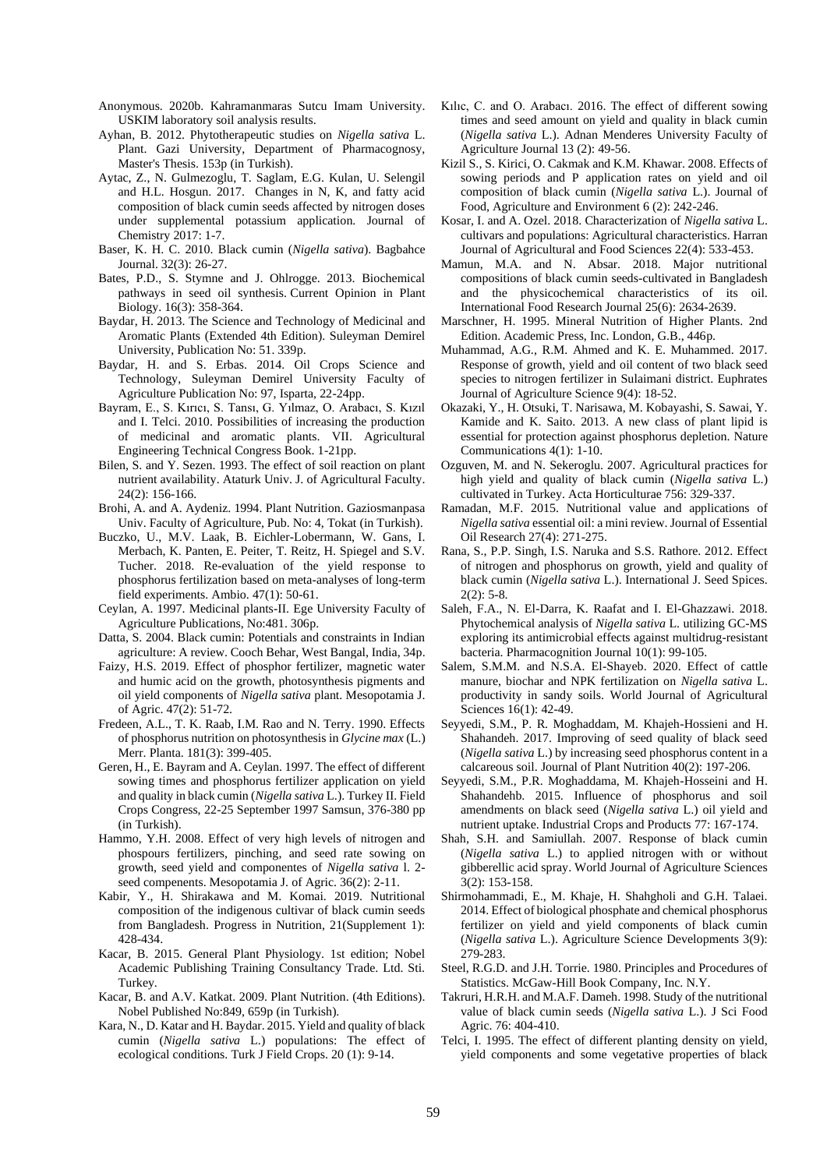- Anonymous. 2020b. Kahramanmaras Sutcu Imam University. USKIM laboratory soil analysis results.
- Ayhan, B. 2012. Phytotherapeutic studies on *Nigella sativa* L. Plant. Gazi University, Department of Pharmacognosy, Master's Thesis. 153p (in Turkish).
- Aytac, Z., N. Gulmezoglu, T. Saglam, E.G. Kulan, U. Selengil and H.L. Hosgun. 2017. Changes in N, K, and fatty acid composition of black cumin seeds affected by nitrogen doses under supplemental potassium application. Journal of Chemistry 2017: 1-7.
- Baser, K. H. C. 2010. Black cumin (*Nigella sativa*). Bagbahce Journal. 32(3): 26-27.
- Bates, P.D., S. Stymne and J. Ohlrogge. 2013. Biochemical pathways in seed oil synthesis. Current Opinion in Plant Biology. 16(3): 358-364.
- Baydar, H. 2013. The Science and Technology of Medicinal and Aromatic Plants (Extended 4th Edition). Suleyman Demirel University, Publication No: 51. 339p.
- Baydar, H. and S. Erbas. 2014. Oil Crops Science and Technology, Suleyman Demirel University Faculty of Agriculture Publication No: 97, Isparta, 22-24pp.
- Bayram, E., S. Kırıcı, S. Tansı, G. Yılmaz, O. Arabacı, S. Kızıl and I. Telci. 2010. Possibilities of increasing the production of medicinal and aromatic plants. VII. Agricultural Engineering Technical Congress Book. 1-21pp.
- Bilen, S. and Y. Sezen. 1993. The effect of soil reaction on plant nutrient availability. Ataturk Univ. J. of Agricultural Faculty. 24(2): 156-166.
- Brohi, A. and A. Aydeniz. 1994. Plant Nutrition. Gaziosmanpasa Univ. Faculty of Agriculture, Pub. No: 4, Tokat (in Turkish).
- Buczko, U., M.V. Laak, B. Eichler-Lobermann, W. Gans, I. Merbach, K. Panten, E. Peiter, T. Reitz, H. Spiegel and S.V. Tucher. 2018. Re-evaluation of the yield response to phosphorus fertilization based on meta-analyses of long-term field experiments. Ambio. 47(1): 50-61.
- Ceylan, A. 1997. Medicinal plants-II. Ege University Faculty of Agriculture Publications, No:481. 306p.
- Datta, S. 2004. Black cumin: Potentials and constraints in Indian agriculture: A review. Cooch Behar, West Bangal, India, 34p.
- Faizy, H.S. 2019. Effect of phosphor fertilizer, magnetic water and humic acid on the growth, photosynthesis pigments and oil yield components of *Nigella sativa* plant. Mesopotamia J. of Agric. 47(2): 51-72.
- Fredeen, A.L., T. K. Raab, I.M. Rao and N. Terry. 1990. Effects of phosphorus nutrition on photosynthesis in *Glycine max* (L.) Merr. Planta. 181(3): 399-405.
- Geren, H., E. Bayram and A. Ceylan. 1997. The effect of different sowing times and phosphorus fertilizer application on yield and quality in black cumin (*Nigella sativa* L.). Turkey II. Field Crops Congress, 22-25 September 1997 Samsun, 376-380 pp (in Turkish).
- Hammo, Y.H. 2008. Effect of very high levels of nitrogen and phospours fertilizers, pinching, and seed rate sowing on growth, seed yield and componentes of *Nigella sativa* l. 2 seed compenents. Mesopotamia J. of Agric. 36(2): 2-11.
- Kabir, Y., H. Shirakawa and M. Komai. 2019. Nutritional composition of the indigenous cultivar of black cumin seeds from Bangladesh. Progress in Nutrition, 21(Supplement 1): 428-434.
- Kacar, B. 2015. General Plant Physiology. 1st edition; Nobel Academic Publishing Training Consultancy Trade. Ltd. Sti. Turkey.
- Kacar, B. and A.V. Katkat. 2009. Plant Nutrition. (4th Editions). Nobel Published No:849, 659p (in Turkish).
- Kara, N., D. Katar and H. Baydar. 2015. Yield and quality of black cumin (*Nigella sativa* L.) populations: The effect of ecological conditions. Turk J Field Crops. 20 (1): 9-14.
- Kılıc, C. and O. Arabacı. 2016. The effect of different sowing times and seed amount on yield and quality in black cumin (*Nigella sativa* L.). Adnan Menderes University Faculty of Agriculture Journal 13 (2): 49-56.
- Kizil S., S. Kirici, O. Cakmak and K.M. Khawar. 2008. Effects of sowing periods and P application rates on yield and oil composition of black cumin (*Nigella sativa* L.). Journal of Food, Agriculture and Environment 6 (2): 242-246.
- Kosar, I. and A. Ozel. 2018. Characterization of *Nigella sativa* L. cultivars and populations: Agricultural characteristics. Harran Journal of Agricultural and Food Sciences 22(4): 533-453.
- Mamun, M.A. and N. Absar. 2018. Major nutritional compositions of black cumin seeds-cultivated in Bangladesh and the physicochemical characteristics of its oil. International Food Research Journal 25(6): 2634-2639.
- Marschner, H. 1995. Mineral Nutrition of Higher Plants. 2nd Edition. Academic Press, Inc. London, G.B., 446p.
- Muhammad, A.G., R.M. Ahmed and K. E. Muhammed. 2017. Response of growth, yield and oil content of two black seed species to nitrogen fertilizer in Sulaimani district. Euphrates Journal of Agriculture Science 9(4): 18-52.
- Okazaki, Y., H. Otsuki, T. Narisawa, M. Kobayashi, S. Sawai, Y. Kamide and K. Saito. 2013. A new class of plant lipid is essential for protection against phosphorus depletion. Nature Communications 4(1): 1-10.
- Ozguven, M. and N. Sekeroglu. 2007. Agricultural practices for high yield and quality of black cumin (*Nigella sativa* L.) cultivated in Turkey. Acta Horticulturae 756: 329-337.
- Ramadan, M.F. 2015. Nutritional value and applications of *Nigella sativa* essential oil: a mini review. Journal of Essential Oil Research 27(4): 271-275.
- Rana, S., P.P. Singh, I.S. Naruka and S.S. Rathore. 2012. Effect of nitrogen and phosphorus on growth, yield and quality of black cumin (*Nigella sativa* L.). International J. Seed Spices.  $2(2): 5-8.$
- Saleh, F.A., N. El-Darra, K. Raafat and I. El-Ghazzawi. 2018. Phytochemical analysis of *Nigella sativa* L. utilizing GC-MS exploring its antimicrobial effects against multidrug-resistant bacteria. Pharmacognition Journal 10(1): 99-105.
- Salem, S.M.M. and N.S.A. El-Shayeb. 2020. Effect of cattle manure, biochar and NPK fertilization on *Nigella sativa* L. productivity in sandy soils. World Journal of Agricultural Sciences 16(1): 42-49.
- Seyyedi, S.M., P. R. Moghaddam, M. Khajeh-Hossieni and H. Shahandeh. 2017. Improving of seed quality of black seed (*Nigella sativa* L.) by increasing seed phosphorus content in a calcareous soil. Journal of Plant Nutrition 40(2): 197-206.
- Seyyedi, S.M., P.R. Moghaddama, M. Khajeh-Hosseini and H. Shahandehb. 2015. Influence of phosphorus and soil amendments on black seed (*Nigella sativa* L.) oil yield and nutrient uptake. Industrial Crops and Products 77: 167-174.
- Shah, S.H. and Samiullah. 2007. Response of black cumin (*Nigella sativa* L.) to applied nitrogen with or without gibberellic acid spray. World Journal of Agriculture Sciences 3(2): 153-158.
- Shirmohammadi, E., M. Khaje, H. Shahgholi and G.H. Talaei. 2014. Effect of biological phosphate and chemical phosphorus fertilizer on yield and yield components of black cumin (*Nigella sativa* L.). Agriculture Science Developments 3(9): 279-283.
- Steel, R.G.D. and J.H. Torrie. 1980. Principles and Procedures of Statistics. McGaw-Hill Book Company, Inc. N.Y.
- Takruri, H.R.H. and M.A.F. Dameh. 1998. Study of the nutritional value of black cumin seeds (*Nigella sativa* L.). J Sci Food Agric. 76: 404-410.
- Telci, I. 1995. The effect of different planting density on yield, yield components and some vegetative properties of black